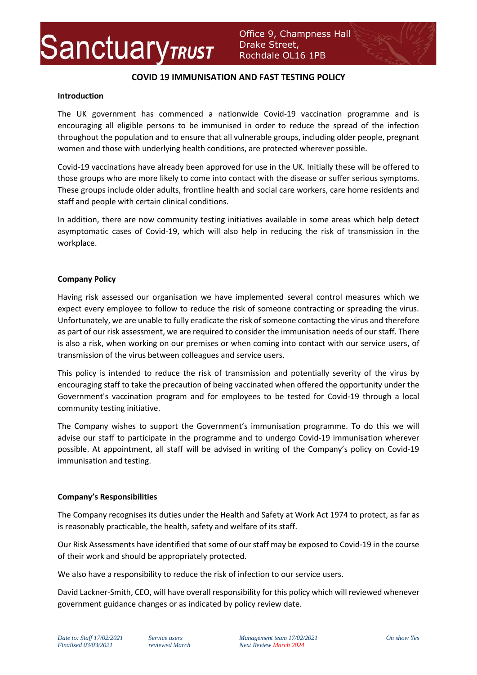

## **COVID 19 IMMUNISATION AND FAST TESTING POLICY**

#### **Introduction**

The UK government has commenced a nationwide Covid-19 vaccination programme and is encouraging all eligible persons to be immunised in order to reduce the spread of the infection throughout the population and to ensure that all vulnerable groups, including older people, pregnant women and those with underlying health conditions, are protected wherever possible.

Covid-19 vaccinations have already been approved for use in the UK. Initially these will be offered to those groups who are more likely to come into contact with the disease or suffer serious symptoms. These groups include older adults, frontline health and social care workers, care home residents and staff and people with certain clinical conditions.

In addition, there are now community testing initiatives available in some areas which help detect asymptomatic cases of Covid-19, which will also help in reducing the risk of transmission in the workplace.

### **Company Policy**

Having risk assessed our organisation we have implemented several control measures which we expect every employee to follow to reduce the risk of someone contracting or spreading the virus. Unfortunately, we are unable to fully eradicate the risk of someone contacting the virus and therefore as part of our risk assessment, we are required to consider the immunisation needs of our staff. There is also a risk, when working on our premises or when coming into contact with our service users, of transmission of the virus between colleagues and service users.

This policy is intended to reduce the risk of transmission and potentially severity of the virus by encouraging staff to take the precaution of being vaccinated when offered the opportunity under the Government's vaccination program and for employees to be tested for Covid-19 through a local community testing initiative.

The Company wishes to support the Government's immunisation programme. To do this we will advise our staff to participate in the programme and to undergo Covid-19 immunisation wherever possible. At appointment, all staff will be advised in writing of the Company's policy on Covid-19 immunisation and testing.

### **Company's Responsibilities**

The Company recognises its duties under the Health and Safety at Work Act 1974 to protect, as far as is reasonably practicable, the health, safety and welfare of its staff.

Our Risk Assessments have identified that some of our staff may be exposed to Covid-19 in the course of their work and should be appropriately protected.

We also have a responsibility to reduce the risk of infection to our service users.

David Lackner-Smith, CEO, will have overall responsibility for this policy which will reviewed whenever government guidance changes or as indicated by policy review date.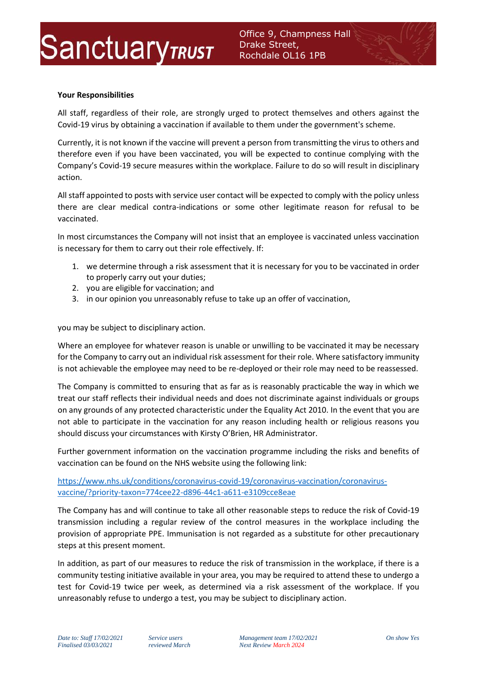

### **Your Responsibilities**

All staff, regardless of their role, are strongly urged to protect themselves and others against the Covid-19 virus by obtaining a vaccination if available to them under the government's scheme.

Currently, it is not known if the vaccine will prevent a person from transmitting the virus to others and therefore even if you have been vaccinated, you will be expected to continue complying with the Company's Covid-19 secure measures within the workplace. Failure to do so will result in disciplinary action.

All staff appointed to posts with service user contact will be expected to comply with the policy unless there are clear medical contra-indications or some other legitimate reason for refusal to be vaccinated.

In most circumstances the Company will not insist that an employee is vaccinated unless vaccination is necessary for them to carry out their role effectively. If:

- 1. we determine through a risk assessment that it is necessary for you to be vaccinated in order to properly carry out your duties;
- 2. you are eligible for vaccination; and
- 3. in our opinion you unreasonably refuse to take up an offer of vaccination,

you may be subject to disciplinary action.

Where an employee for whatever reason is unable or unwilling to be vaccinated it may be necessary for the Company to carry out an individual risk assessment for their role. Where satisfactory immunity is not achievable the employee may need to be re-deployed or their role may need to be reassessed.

The Company is committed to ensuring that as far as is reasonably practicable the way in which we treat our staff reflects their individual needs and does not discriminate against individuals or groups on any grounds of any protected characteristic under the Equality Act 2010. In the event that you are not able to participate in the vaccination for any reason including health or religious reasons you should discuss your circumstances with Kirsty O'Brien, HR Administrator.

Further government information on the vaccination programme including the risks and benefits of vaccination can be found on the NHS website using the following link:

[https://www.nhs.uk/conditions/coronavirus-covid-19/coronavirus-vaccination/coronavirus](https://www.nhs.uk/conditions/coronavirus-covid-19/coronavirus-vaccination/coronavirus-vaccine/?priority-taxon=774cee22-d896-44c1-a611-e3109cce8eae)[vaccine/?priority-taxon=774cee22-d896-44c1-a611-e3109cce8eae](https://www.nhs.uk/conditions/coronavirus-covid-19/coronavirus-vaccination/coronavirus-vaccine/?priority-taxon=774cee22-d896-44c1-a611-e3109cce8eae)

The Company has and will continue to take all other reasonable steps to reduce the risk of Covid-19 transmission including a regular review of the control measures in the workplace including the provision of appropriate PPE. Immunisation is not regarded as a substitute for other precautionary steps at this present moment.

In addition, as part of our measures to reduce the risk of transmission in the workplace, if there is a community testing initiative available in your area, you may be required to attend these to undergo a test for Covid-19 twice per week, as determined via a risk assessment of the workplace. If you unreasonably refuse to undergo a test, you may be subject to disciplinary action.